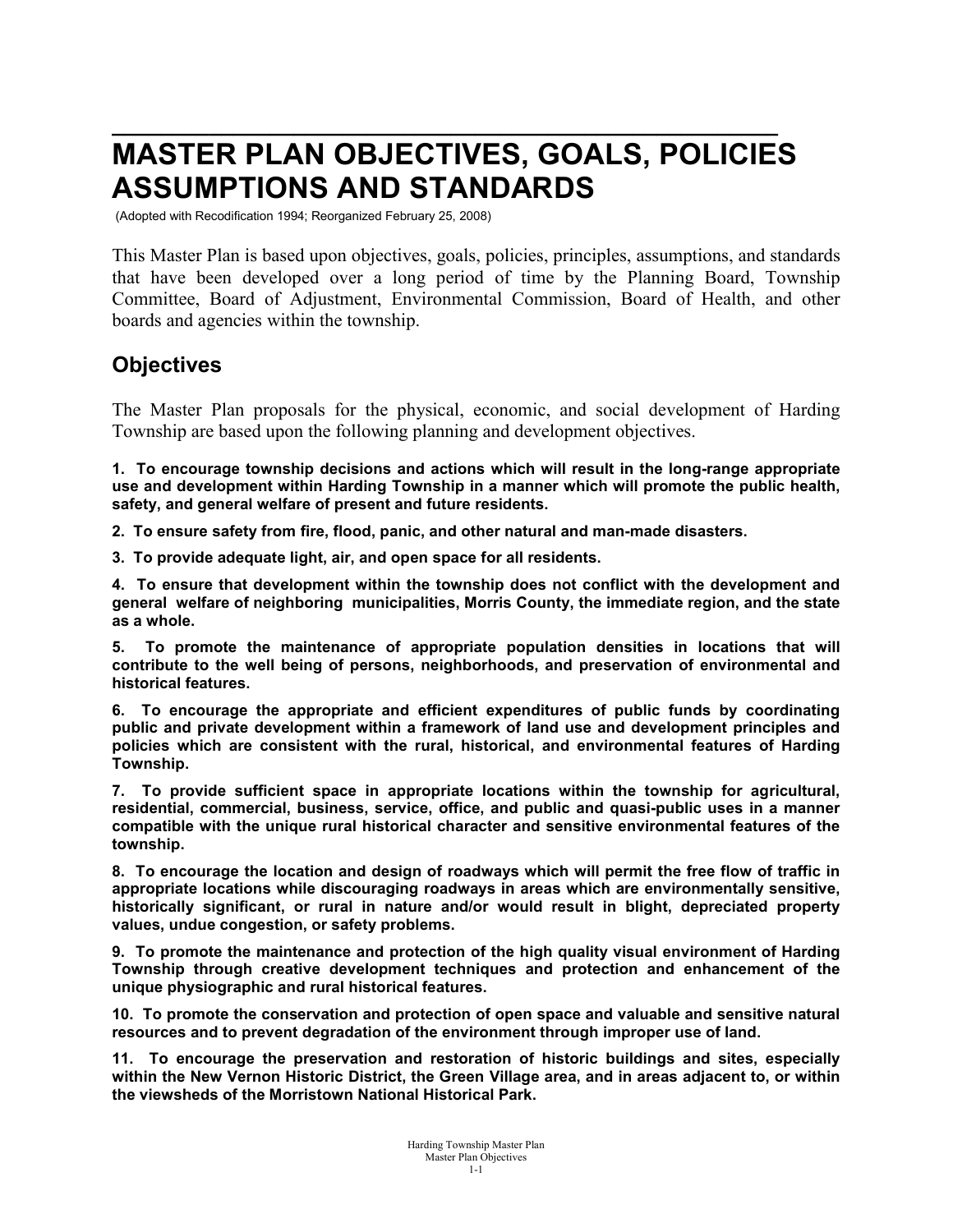# **\_\_\_\_\_\_\_\_\_\_\_\_\_\_\_\_\_\_\_\_\_\_\_\_\_\_\_\_\_\_\_\_\_\_\_\_\_\_\_\_\_\_\_\_\_\_\_\_\_\_\_\_\_\_\_ MASTER PLAN OBJECTIVES, GOALS, POLICIES ASSUMPTIONS AND STANDARDS**

(Adopted with Recodification 1994; Reorganized February 25, 2008)

This Master Plan is based upon objectives, goals, policies, principles, assumptions, and standards that have been developed over a long period of time by the Planning Board, Township Committee, Board of Adjustment, Environmental Commission, Board of Health, and other boards and agencies within the township.

# **Objectives**

The Master Plan proposals for the physical, economic, and social development of Harding Township are based upon the following planning and development objectives.

**1. To encourage township decisions and actions which will result in the long-range appropriate use and development within Harding Township in a manner which will promote the public health, safety, and general welfare of present and future residents.**

**2. To ensure safety from fire, flood, panic, and other natural and man-made disasters.**

**3. To provide adequate light, air, and open space for all residents.**

**4. To ensure that development within the township does not conflict with the development and general welfare of neighboring municipalities, Morris County, the immediate region, and the state as a whole.**

**5. To promote the maintenance of appropriate population densities in locations that will contribute to the well being of persons, neighborhoods, and preservation of environmental and historical features.**

**6. To encourage the appropriate and efficient expenditures of public funds by coordinating public and private development within a framework of land use and development principles and policies which are consistent with the rural, historical, and environmental features of Harding Township.**

**7. To provide sufficient space in appropriate locations within the township for agricultural, residential, commercial, business, service, office, and public and quasi-public uses in a manner compatible with the unique rural historical character and sensitive environmental features of the township.**

**8. To encourage the location and design of roadways which will permit the free flow of traffic in appropriate locations while discouraging roadways in areas which are environmentally sensitive, historically significant, or rural in nature and/or would result in blight, depreciated property values, undue congestion, or safety problems.**

**9. To promote the maintenance and protection of the high quality visual environment of Harding Township through creative development techniques and protection and enhancement of the unique physiographic and rural historical features.**

**10. To promote the conservation and protection of open space and valuable and sensitive natural resources and to prevent degradation of the environment through improper use of land.**

**11. To encourage the preservation and restoration of historic buildings and sites, especially within the New Vernon Historic District, the Green Village area, and in areas adjacent to, or within the viewsheds of the Morristown National Historical Park.**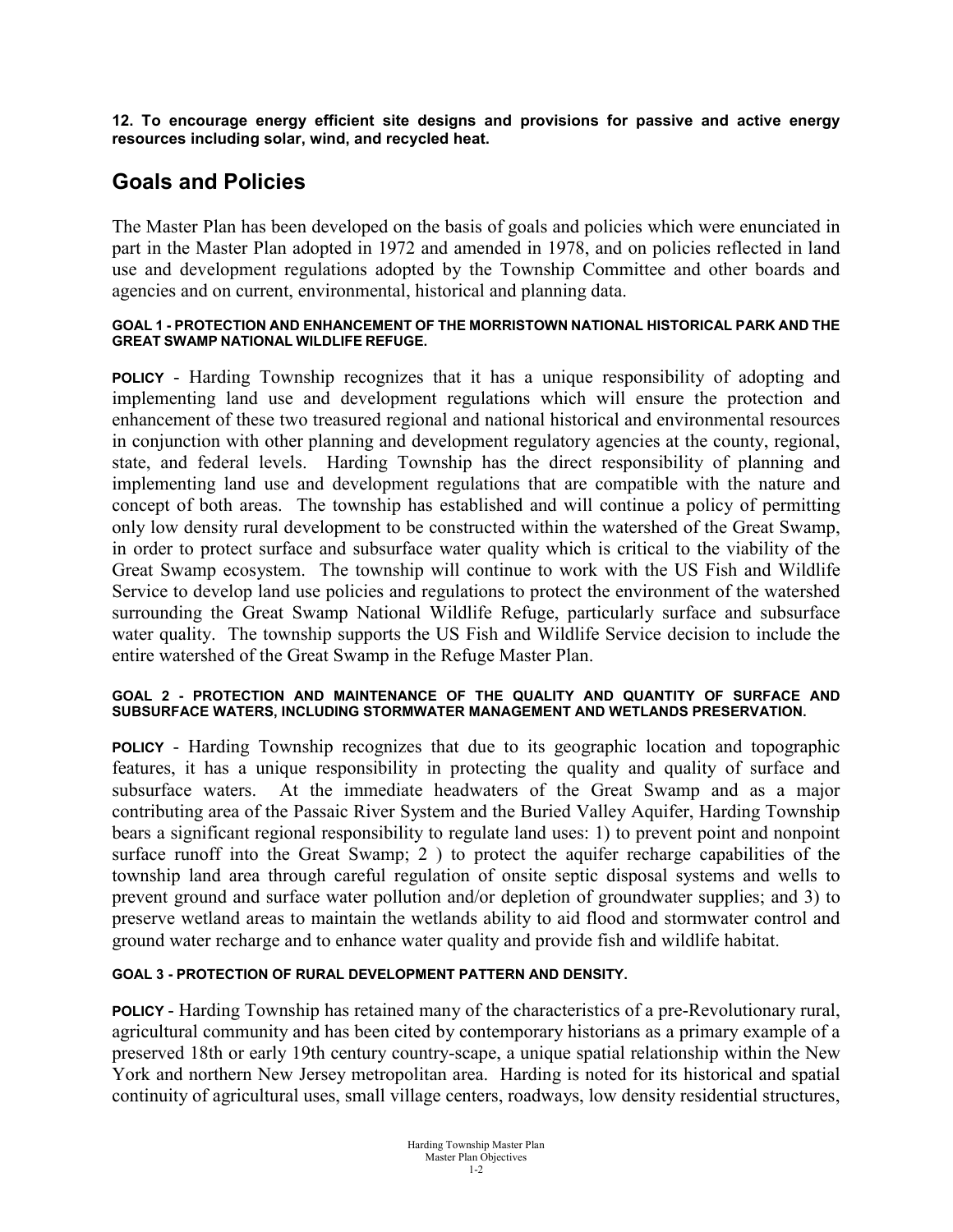**12. To encourage energy efficient site designs and provisions for passive and active energy resources including solar, wind, and recycled heat.**

# **Goals and Policies**

The Master Plan has been developed on the basis of goals and policies which were enunciated in part in the Master Plan adopted in 1972 and amended in 1978, and on policies reflected in land use and development regulations adopted by the Township Committee and other boards and agencies and on current, environmental, historical and planning data.

#### **GOAL 1 - PROTECTION AND ENHANCEMENT OF THE MORRISTOWN NATIONAL HISTORICAL PARK AND THE GREAT SWAMP NATIONAL WILDLIFE REFUGE.**

**POLICY** - Harding Township recognizes that it has a unique responsibility of adopting and implementing land use and development regulations which will ensure the protection and enhancement of these two treasured regional and national historical and environmental resources in conjunction with other planning and development regulatory agencies at the county, regional, state, and federal levels. Harding Township has the direct responsibility of planning and implementing land use and development regulations that are compatible with the nature and concept of both areas. The township has established and will continue a policy of permitting only low density rural development to be constructed within the watershed of the Great Swamp, in order to protect surface and subsurface water quality which is critical to the viability of the Great Swamp ecosystem. The township will continue to work with the US Fish and Wildlife Service to develop land use policies and regulations to protect the environment of the watershed surrounding the Great Swamp National Wildlife Refuge, particularly surface and subsurface water quality. The township supports the US Fish and Wildlife Service decision to include the entire watershed of the Great Swamp in the Refuge Master Plan.

#### **GOAL 2 - PROTECTION AND MAINTENANCE OF THE QUALITY AND QUANTITY OF SURFACE AND SUBSURFACE WATERS, INCLUDING STORMWATER MANAGEMENT AND WETLANDS PRESERVATION.**

**POLICY** - Harding Township recognizes that due to its geographic location and topographic features, it has a unique responsibility in protecting the quality and quality of surface and subsurface waters. At the immediate headwaters of the Great Swamp and as a major contributing area of the Passaic River System and the Buried Valley Aquifer, Harding Township bears a significant regional responsibility to regulate land uses: 1) to prevent point and nonpoint surface runoff into the Great Swamp; 2 ) to protect the aquifer recharge capabilities of the township land area through careful regulation of onsite septic disposal systems and wells to prevent ground and surface water pollution and/or depletion of groundwater supplies; and 3) to preserve wetland areas to maintain the wetlands ability to aid flood and stormwater control and ground water recharge and to enhance water quality and provide fish and wildlife habitat.

## **GOAL 3 - PROTECTION OF RURAL DEVELOPMENT PATTERN AND DENSITY.**

**POLICY** - Harding Township has retained many of the characteristics of a pre-Revolutionary rural, agricultural community and has been cited by contemporary historians as a primary example of a preserved 18th or early 19th century country-scape, a unique spatial relationship within the New York and northern New Jersey metropolitan area. Harding is noted for its historical and spatial continuity of agricultural uses, small village centers, roadways, low density residential structures,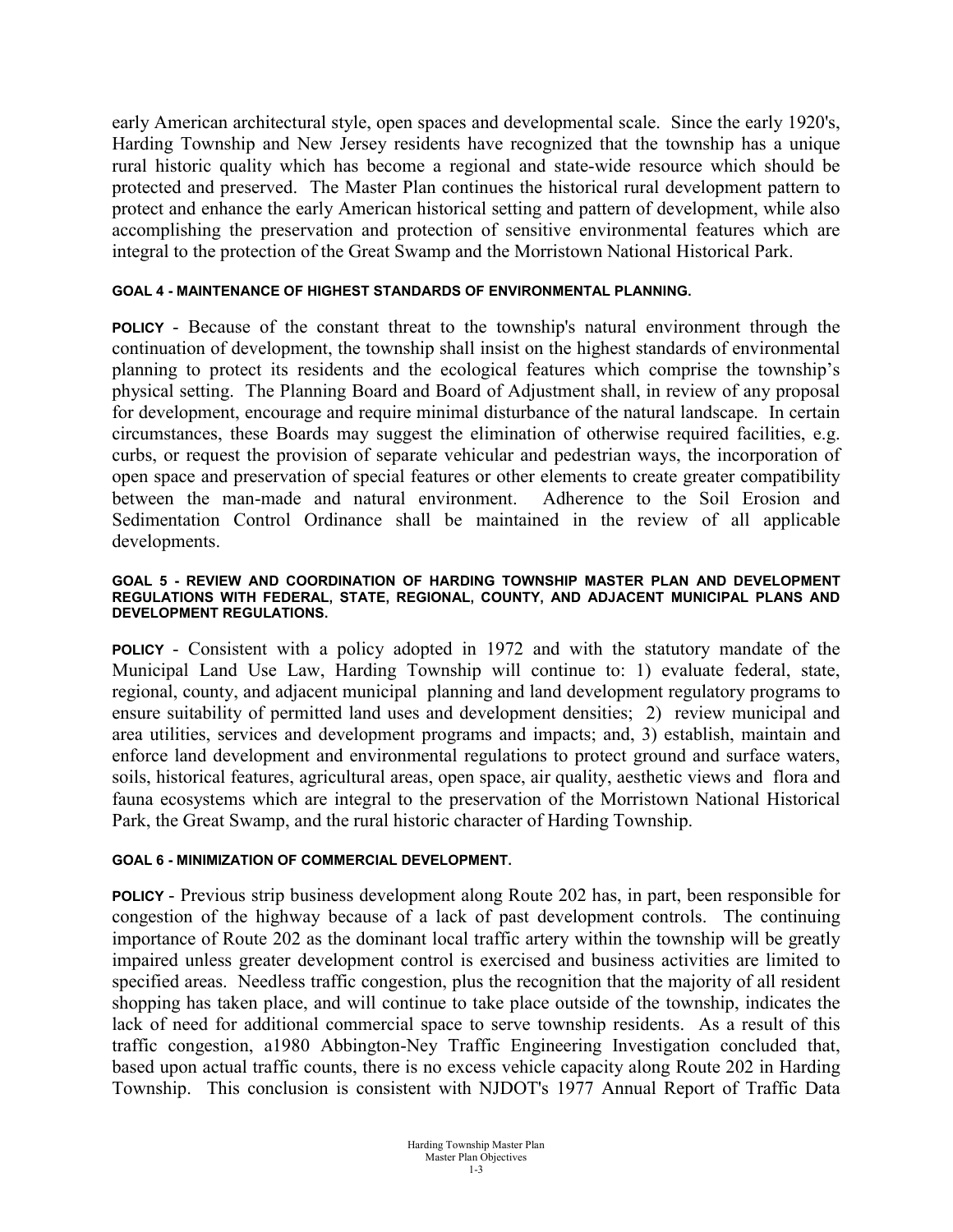early American architectural style, open spaces and developmental scale. Since the early 1920's, Harding Township and New Jersey residents have recognized that the township has a unique rural historic quality which has become a regional and state-wide resource which should be protected and preserved. The Master Plan continues the historical rural development pattern to protect and enhance the early American historical setting and pattern of development, while also accomplishing the preservation and protection of sensitive environmental features which are integral to the protection of the Great Swamp and the Morristown National Historical Park.

### **GOAL 4 - MAINTENANCE OF HIGHEST STANDARDS OF ENVIRONMENTAL PLANNING.**

**POLICY** - Because of the constant threat to the township's natural environment through the continuation of development, the township shall insist on the highest standards of environmental planning to protect its residents and the ecological features which comprise the township's physical setting. The Planning Board and Board of Adjustment shall, in review of any proposal for development, encourage and require minimal disturbance of the natural landscape. In certain circumstances, these Boards may suggest the elimination of otherwise required facilities, e.g. curbs, or request the provision of separate vehicular and pedestrian ways, the incorporation of open space and preservation of special features or other elements to create greater compatibility between the man-made and natural environment. Adherence to the Soil Erosion and Sedimentation Control Ordinance shall be maintained in the review of all applicable developments.

#### **GOAL 5 - REVIEW AND COORDINATION OF HARDING TOWNSHIP MASTER PLAN AND DEVELOPMENT REGULATIONS WITH FEDERAL, STATE, REGIONAL, COUNTY, AND ADJACENT MUNICIPAL PLANS AND DEVELOPMENT REGULATIONS.**

**POLICY** - Consistent with a policy adopted in 1972 and with the statutory mandate of the Municipal Land Use Law, Harding Township will continue to: 1) evaluate federal, state, regional, county, and adjacent municipal planning and land development regulatory programs to ensure suitability of permitted land uses and development densities; 2) review municipal and area utilities, services and development programs and impacts; and, 3) establish, maintain and enforce land development and environmental regulations to protect ground and surface waters, soils, historical features, agricultural areas, open space, air quality, aesthetic views and flora and fauna ecosystems which are integral to the preservation of the Morristown National Historical Park, the Great Swamp, and the rural historic character of Harding Township.

#### **GOAL 6 - MINIMIZATION OF COMMERCIAL DEVELOPMENT.**

**POLICY** - Previous strip business development along Route 202 has, in part, been responsible for congestion of the highway because of a lack of past development controls. The continuing importance of Route 202 as the dominant local traffic artery within the township will be greatly impaired unless greater development control is exercised and business activities are limited to specified areas. Needless traffic congestion, plus the recognition that the majority of all resident shopping has taken place, and will continue to take place outside of the township, indicates the lack of need for additional commercial space to serve township residents. As a result of this traffic congestion, a1980 Abbington-Ney Traffic Engineering Investigation concluded that, based upon actual traffic counts, there is no excess vehicle capacity along Route 202 in Harding Township. This conclusion is consistent with NJDOT's 1977 Annual Report of Traffic Data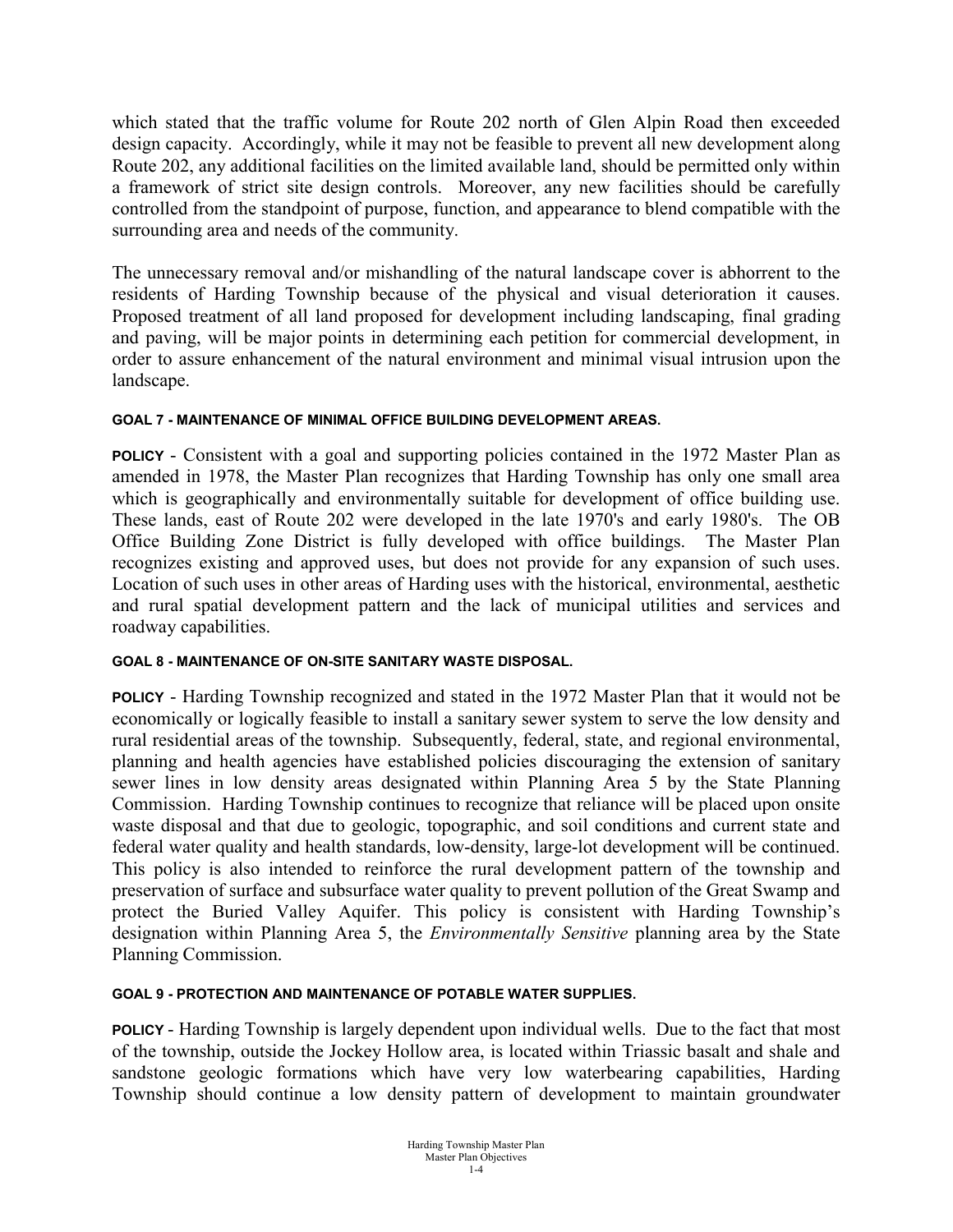which stated that the traffic volume for Route 202 north of Glen Alpin Road then exceeded design capacity. Accordingly, while it may not be feasible to prevent all new development along Route 202, any additional facilities on the limited available land, should be permitted only within a framework of strict site design controls. Moreover, any new facilities should be carefully controlled from the standpoint of purpose, function, and appearance to blend compatible with the surrounding area and needs of the community.

The unnecessary removal and/or mishandling of the natural landscape cover is abhorrent to the residents of Harding Township because of the physical and visual deterioration it causes. Proposed treatment of all land proposed for development including landscaping, final grading and paving, will be major points in determining each petition for commercial development, in order to assure enhancement of the natural environment and minimal visual intrusion upon the landscape.

# **GOAL 7 - MAINTENANCE OF MINIMAL OFFICE BUILDING DEVELOPMENT AREAS.**

**POLICY** - Consistent with a goal and supporting policies contained in the 1972 Master Plan as amended in 1978, the Master Plan recognizes that Harding Township has only one small area which is geographically and environmentally suitable for development of office building use. These lands, east of Route 202 were developed in the late 1970's and early 1980's. The OB Office Building Zone District is fully developed with office buildings. The Master Plan recognizes existing and approved uses, but does not provide for any expansion of such uses. Location of such uses in other areas of Harding uses with the historical, environmental, aesthetic and rural spatial development pattern and the lack of municipal utilities and services and roadway capabilities.

# **GOAL 8 - MAINTENANCE OF ON-SITE SANITARY WASTE DISPOSAL.**

**POLICY** - Harding Township recognized and stated in the 1972 Master Plan that it would not be economically or logically feasible to install a sanitary sewer system to serve the low density and rural residential areas of the township. Subsequently, federal, state, and regional environmental, planning and health agencies have established policies discouraging the extension of sanitary sewer lines in low density areas designated within Planning Area 5 by the State Planning Commission. Harding Township continues to recognize that reliance will be placed upon onsite waste disposal and that due to geologic, topographic, and soil conditions and current state and federal water quality and health standards, low-density, large-lot development will be continued. This policy is also intended to reinforce the rural development pattern of the township and preservation of surface and subsurface water quality to prevent pollution of the Great Swamp and protect the Buried Valley Aquifer. This policy is consistent with Harding Township's designation within Planning Area 5, the *Environmentally Sensitive* planning area by the State Planning Commission.

## **GOAL 9 - PROTECTION AND MAINTENANCE OF POTABLE WATER SUPPLIES.**

**POLICY** - Harding Township is largely dependent upon individual wells. Due to the fact that most of the township, outside the Jockey Hollow area, is located within Triassic basalt and shale and sandstone geologic formations which have very low waterbearing capabilities, Harding Township should continue a low density pattern of development to maintain groundwater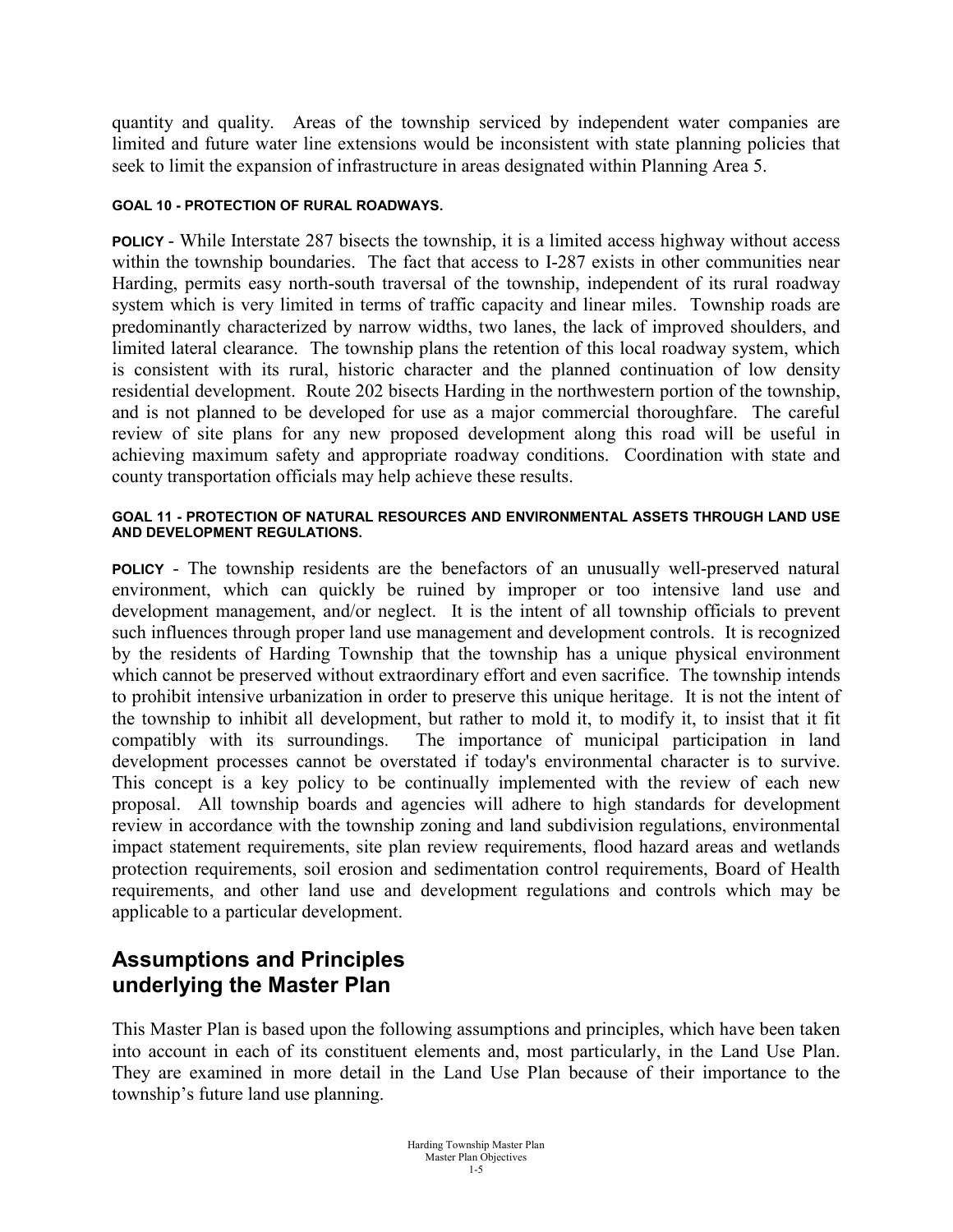quantity and quality. Areas of the township serviced by independent water companies are limited and future water line extensions would be inconsistent with state planning policies that seek to limit the expansion of infrastructure in areas designated within Planning Area 5.

## **GOAL 10 - PROTECTION OF RURAL ROADWAYS.**

**POLICY** - While Interstate 287 bisects the township, it is a limited access highway without access within the township boundaries. The fact that access to I-287 exists in other communities near Harding, permits easy north-south traversal of the township, independent of its rural roadway system which is very limited in terms of traffic capacity and linear miles. Township roads are predominantly characterized by narrow widths, two lanes, the lack of improved shoulders, and limited lateral clearance. The township plans the retention of this local roadway system, which is consistent with its rural, historic character and the planned continuation of low density residential development. Route 202 bisects Harding in the northwestern portion of the township, and is not planned to be developed for use as a major commercial thoroughfare. The careful review of site plans for any new proposed development along this road will be useful in achieving maximum safety and appropriate roadway conditions. Coordination with state and county transportation officials may help achieve these results.

#### **GOAL 11 - PROTECTION OF NATURAL RESOURCES AND ENVIRONMENTAL ASSETS THROUGH LAND USE AND DEVELOPMENT REGULATIONS.**

**POLICY** - The township residents are the benefactors of an unusually well-preserved natural environment, which can quickly be ruined by improper or too intensive land use and development management, and/or neglect. It is the intent of all township officials to prevent such influences through proper land use management and development controls. It is recognized by the residents of Harding Township that the township has a unique physical environment which cannot be preserved without extraordinary effort and even sacrifice. The township intends to prohibit intensive urbanization in order to preserve this unique heritage. It is not the intent of the township to inhibit all development, but rather to mold it, to modify it, to insist that it fit compatibly with its surroundings. The importance of municipal participation in land development processes cannot be overstated if today's environmental character is to survive. This concept is a key policy to be continually implemented with the review of each new proposal. All township boards and agencies will adhere to high standards for development review in accordance with the township zoning and land subdivision regulations, environmental impact statement requirements, site plan review requirements, flood hazard areas and wetlands protection requirements, soil erosion and sedimentation control requirements, Board of Health requirements, and other land use and development regulations and controls which may be applicable to a particular development.

# **Assumptions and Principles underlying the Master Plan**

This Master Plan is based upon the following assumptions and principles, which have been taken into account in each of its constituent elements and, most particularly, in the Land Use Plan. They are examined in more detail in the Land Use Plan because of their importance to the township's future land use planning.